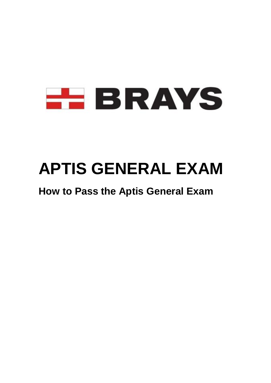

# **APTIS GENERAL EXAM**

## **How to Pass the Aptis General Exam**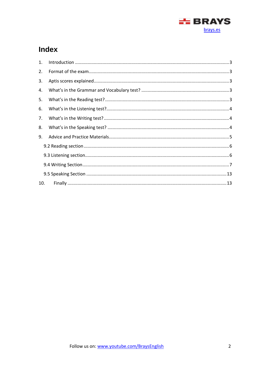

### Index

| 1.  | $\label{eq:1} \mbox{Introduction} \,\, \ldots \,\, \ldots \,\, \ldots \,\, \ldots \,\, \ldots \,\, \ldots \,\, \ldots \,\, \ldots \,\, \ldots \,\, \ldots \,\, \ldots \,\, \ldots \,\, \ldots \,\, \ldots \,\, \ldots \,\, \ldots \,\, \ldots \,\, \ldots \,\, \ldots \,\, \ldots \,\, \ldots \,\, \ldots \,\, \ldots \,\, \ldots \,\, \ldots \,\, \ldots \,\, \ldots \,\, \ldots \,\, \ldots \,\, \ldots \,\, \ldots \,\, \ldots \,\, \ldots \,\, \ldots \,\,$ |  |  |
|-----|-----------------------------------------------------------------------------------------------------------------------------------------------------------------------------------------------------------------------------------------------------------------------------------------------------------------------------------------------------------------------------------------------------------------------------------------------------------------|--|--|
| 2.  |                                                                                                                                                                                                                                                                                                                                                                                                                                                                 |  |  |
| 3.  |                                                                                                                                                                                                                                                                                                                                                                                                                                                                 |  |  |
| 4.  |                                                                                                                                                                                                                                                                                                                                                                                                                                                                 |  |  |
| 5.  |                                                                                                                                                                                                                                                                                                                                                                                                                                                                 |  |  |
| 6.  |                                                                                                                                                                                                                                                                                                                                                                                                                                                                 |  |  |
| 7.  |                                                                                                                                                                                                                                                                                                                                                                                                                                                                 |  |  |
| 8.  |                                                                                                                                                                                                                                                                                                                                                                                                                                                                 |  |  |
| 9.  |                                                                                                                                                                                                                                                                                                                                                                                                                                                                 |  |  |
|     |                                                                                                                                                                                                                                                                                                                                                                                                                                                                 |  |  |
|     |                                                                                                                                                                                                                                                                                                                                                                                                                                                                 |  |  |
|     |                                                                                                                                                                                                                                                                                                                                                                                                                                                                 |  |  |
|     |                                                                                                                                                                                                                                                                                                                                                                                                                                                                 |  |  |
| 10. |                                                                                                                                                                                                                                                                                                                                                                                                                                                                 |  |  |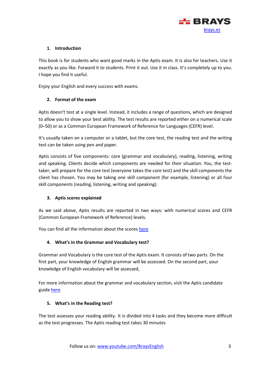

#### <span id="page-2-0"></span>**1. Introduction**

This book is for students who want good marks in the Aptis exam. It is also for teachers. Use it exactly as you like. Forward it to students. Print it out. Use it in class. It's completely up to you. I hope you find it useful.

Enjoy your English and every success with exams.

#### <span id="page-2-1"></span>**2. Format of the exam**

Aptis doesn't test at a single level. Instead, it includes a range of questions, which are designed to allow you to show your best ability. The test results are reported either on a numerical scale (0–50) or as a Common European Framework of Reference for Languages (CEFR) level.

It's usually taken on a computer or a tablet, but the core test, the reading test and the writing test can be taken using pen and paper.

Aptis consists of five components: core (grammar and vocabulary), reading, listening, writing and speaking. Clients decide which components are needed for their situation. You, the testtaker, will prepare for the core test (everyone takes the core test) and the skill components the client has chosen. You may be taking one skill component (for example, listening) or all four skill components (reading, listening, writing and speaking).

#### <span id="page-2-2"></span>**3. Aptis scores explained**

As we said above, Aptis results are reported in two ways: with numerical scores and CEFR (Common European Framework of Reference) levels.

You can find all the information about the scores [here](https://www.britishcouncil.es/sites/default/files/aptis_scores_explained_eng_0.pdf)

#### <span id="page-2-3"></span>**4. What's in the Grammar and Vocabulary test?**

Grammar and Vocabulary is the core test of the Aptis exam. It consists of two parts. On the first part, your knowledge of English grammar will be assessed. On the second part, your knowledge of English vocabulary will be assessed,

For more information about the grammar and vocabulary section, visit the Aptis candidate guide [here](https://www.britishcouncil.org/sites/default/files/aptis_candidate_guide-web.pdf)

#### <span id="page-2-4"></span>**5. What's in the Reading test?**

The test assesses your reading ability. It is divided into 4 tasks and they become more difficult as the test progresses. The Aptis reading test takes 30 minutes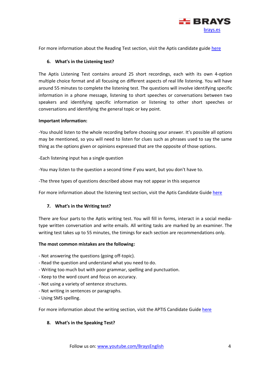

For more information about the Reading Test section, visit the Aptis candidate guid[e here](https://www.britishcouncil.org/sites/default/files/aptis_candidate_guide-web.pdf)

#### <span id="page-3-0"></span>**6. What's in the Listening test?**

The Aptis Listening Test contains around 25 short recordings, each with its own 4-option multiple choice format and all focusing on different aspects of real life listening. You will have around 55 minutes to complete the listening test. The questions will involve identifying specific information in a phone message, listening to short speeches or conversations between two speakers and identifying specific information or listening to other short speeches or conversations and identifying the general topic or key point.

#### **Important information:**

-You should listen to the whole recording before choosing your answer. It's possible all options may be mentioned, so you will need to listen for clues such as phrases used to say the same thing as the options given or opinions expressed that are the opposite of those options.

-Each listening input has a single question

-You may listen to the question a second time if you want, but you don't have to.

-The three types of questions described above may not appear in this sequence

For more information about the listening test section, visit the Aptis Candidate Guide [here](https://www.britishcouncil.org/sites/default/files/aptis_candidate_guide-web.pdf)

#### <span id="page-3-1"></span>**7. What's in the Writing test?**

There are four parts to the Aptis writing test. You will fill in forms, interact in a social mediatype written conversation and write emails. All writing tasks are marked by an examiner. The writing test takes up to 55 minutes, the timings for each section are recommendations only.

#### **The most common mistakes are the following:**

- Not answering the questions (going off-topic).
- Read the question and understand what you need to do.
- Writing too much but with poor grammar, spelling and punctuation.
- Keep to the word count and focus on accuracy.
- Not using a variety of sentence structures.
- Not writing in sentences or paragraphs.
- Using SMS spelling.

For more information about the writing section, visit the APTIS Candidate Guide [here](https://www.britishcouncil.org/sites/default/files/aptis_candidate_guide-web.pdf)

#### <span id="page-3-2"></span>**8. What's in the Speaking Test?**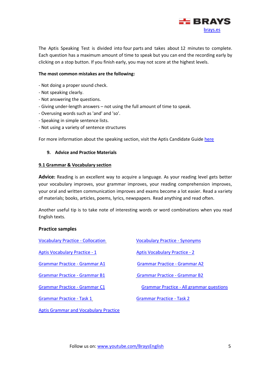

The Aptis Speaking Test is divided into four parts and takes about 12 minutes to complete. Each question has a maximum amount of time to speak but you can end the recording early by clicking on a stop button. If you finish early, you may not score at the highest levels.

#### **The most common mistakes are the following:**

- Not doing a proper sound check.
- Not speaking clearly.
- Not answering the questions.
- Giving under-length answers not using the full amount of time to speak.
- Overusing words such as 'and' and 'so'.
- Speaking in simple sentence lists.
- Not using a variety of sentence structures

For more information about the speaking section, visit the Aptis Candidate Guide [here](https://www.britishcouncil.org/sites/default/files/aptis_candidate_guide-web.pdf)

#### <span id="page-4-0"></span>**9. Advice and Practice Materials**

#### **9.1 Grammar & Vocabulary section**

Advice: Reading is an excellent way to acquire a language. As your reading level gets better your vocabulary improves, your grammar improves, your reading comprehension improves, your oral and written communication improves and exams become a lot easier. Read a variety of materials; books, articles, poems, lyrics, newspapers. Read anything and read often.

Another useful tip is to take note of interesting words or word combinations when you read English texts.

#### **Practice samples**

| <b>Vocabulary Practice - Collocation</b> | <b>Vocabulary Practice - Synonyms</b>           |
|------------------------------------------|-------------------------------------------------|
| <b>Aptis Vocabulary Practice - 1</b>     | <b>Aptis Vocabulary Practice - 2</b>            |
| <b>Grammar Practice - Grammar A1</b>     | <b>Grammar Practice - Grammar A2</b>            |
| <b>Grammar Practice - Grammar B1</b>     | <b>Grammar Practice - Grammar B2</b>            |
| <b>Grammar Practice - Grammar C1</b>     | <b>Grammar Practice - All grammar questions</b> |
| <b>Grammar Practice - Task 1</b>         | <b>Grammar Practice - Task 2</b>                |

[Aptis Grammar and Vocabulary Practice](https://practice.bc.janisoncloud.com/auth/onetimecode?sessionCode=KDBTKNGC&otc=ZRVRSRBS&isSampleTest=true)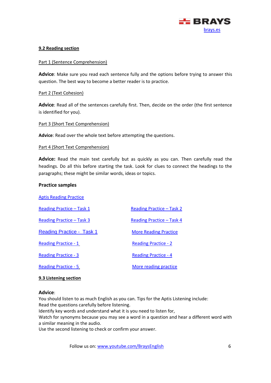

#### <span id="page-5-0"></span>**9.2 Reading section**

#### Part 1 (Sentence Comprehension)

**Advice**: Make sure you read each sentence fully and the options before trying to answer this question. The best way to become a better reader is to practice.

#### Part 2 (Text Cohesion)

**Advice**: Read all of the sentences carefully first. Then, decide on the order (the first sentence is identified for you).

#### Part 3 (Short Text Comprehension)

**Advice**: Read over the whole text before attempting the questions.

#### Part 4 (Short Text Comprehension)

**Advice:** Read the main text carefully but as quickly as you can. Then carefully read the headings. Do all this before starting the task. Look for clues to connect the headings to the paragraphs; these might be similar words, ideas or topics.

#### **Practice samples**

| <b>Aptis Reading Practice</b>    |                              |
|----------------------------------|------------------------------|
| Reading Practice – Task 1        | Reading Practice – Task 2    |
| Reading Practice – Task 3        | Reading Practice - Task 4    |
| <b>Reading Practice - Task 1</b> | <b>More Reading Practice</b> |
| <b>Reading Practice - 1</b>      | <b>Reading Practice - 2</b>  |
| <b>Reading Practice - 3</b>      | <b>Reading Practice - 4</b>  |
| <b>Reading Practice - 5</b>      | More reading practice        |

#### <span id="page-5-1"></span>**9.3 Listening section**

#### **Advice**:

You should listen to as much English as you can. Tips for the Aptis Listening include: Read the questions carefully before listening.

Identify key words and understand what it is you need to listen for,

Watch for synonyms because you may see a word in a question and hear a different word with a similar meaning in the audio.

Use the second listening to check or confirm your answer.

Follow us on: [www.youtube.com/BraysEnglish](http://www.youtube.com/BraysEnglish) 6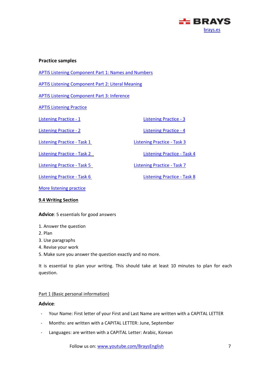

#### **Practice samples**

[APTIS Listening Component Part 1: Names and Numbers](https://www.englishexamninja.com/aptis/aptis-listening/aptis-listening-part-1-names-and-numbers/)

[APTIS Listening Component Part 2: Literal Meaning](https://www.englishexamninja.com/aptis/aptis-listening/aptis-listening-component-part-2)

[APTIS Listening Component Part 3: Inference](https://www.englishexamninja.com/aptis/aptis-listening/aptis-listening-component-part-3-inference)

[APTIS Listening Practice](https://practice.bc.janisoncloud.com/auth/onetimecode?sessionCode=LBFZXSTM&otc=ZJQWZNNX&isSampleTest=true)

[Listening Practice -](https://www.eslvideo.com/quiz.php?id=3109) 1 Listening Practice - 3

[Listening Practice -](https://www.esl-lab.com/arches/arches-rd1.htm) Task 1 [Listening Practice -](https://www.esl-lab.com/scholarship/scholarshiprd1.htm) Task 3

[Listening Practice -](https://www.esl-lab.com/culture/culrd1.htm) Task 5 Listening Practice - Task 7

[Listening Practice -](https://www.eslvideo.com/quiz.php?id=24731) 2 [Listening Practice -](https://www.eslvideo.com/quiz.php?id=23859) 4

[Listening Practice -](https://www.esl-lab.com/blooddonations/blooddonations-rd1.htm) Task 2 [Listening Practice -](https://www.esl-lab.com/time/timerd1.htm) Task 4

[Listening Practice -](https://www.esl-lab.com/cancer/cancerrd1.htm) Task 6 Listening Practice - Task 8

[More listening practice](https://www.englishexamninja.com/grammar/english_listening_practice/)

#### <span id="page-6-0"></span>**9.4 Writing Section**

**Advice**: 5 essentials for good answers

#### 1. Answer the question

- 2. Plan
- 3. Use paragraphs
- 4. Revise your work
- 5. Make sure you answer the question exactly and no more.

It is essential to plan your writing. This should take at least 10 minutes to plan for each question.

#### Part 1 (Basic personal information)

#### **Advice**:

- Your Name: First letter of your First and Last Name are written with a CAPITAL LETTER
- Months: are written with a CAPITAL LETTER: June, September
- Languages: are written with a CAPITAL Letter: Arabic, Korean

Follow us on: [www.youtube.com/BraysEnglish](http://www.youtube.com/BraysEnglish) 7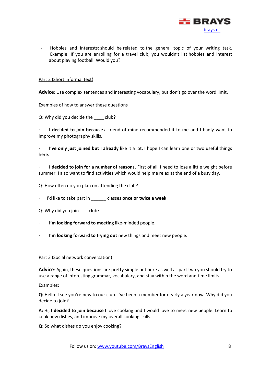

- Hobbies and Interests: should be related to the general topic of your writing task. Example: If you are enrolling for a travel club, you wouldn't list hobbies and interest about playing football. Would you?

#### Part 2 (Short informal text)

**Advice**: Use complex sentences and interesting vocabulary, but don't go over the word limit.

Examples of how to answer these questions

Q: Why did you decide the club?

· **I decided to join because** a friend of mine recommended it to me and I badly want to improve my photography skills.

I've only just joined but I already like it a lot. I hope I can learn one or two useful things here.

· **I decided to join for a number of reasons**. First of all, I need to lose a little weight before summer. I also want to find activities which would help me relax at the end of a busy day.

Q: How often do you plan on attending the club?

I'd like to take part in \_\_\_\_\_\_ classes **once or twice a week**.

Q: Why did you join club?

- · **I'm looking forward to meeting** like-minded people.
- I'm looking forward to trying out new things and meet new people.

#### Part 3 (Social network conversation)

**Advice**: Again, these questions are pretty simple but here as well as part two you should try to use a range of interesting grammar, vocabulary, and stay within the word and time limits.

Examples:

**Q:** Hello. I see you're new to our club. I've been a member for nearly a year now. Why did you decide to join?

**A:** Hi, **I decided to join because** I love cooking and I would love to meet new people. Learn to cook new dishes, and improve my overall cooking skills.

**Q**: So what dishes do you enjoy cooking?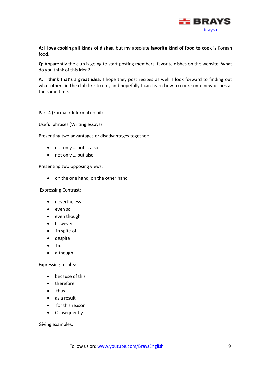

**A: I love cooking all kinds of dishes**, but my absolute **favorite kind of food to cook** is Korean food.

**Q:** Apparently the club is going to start posting members' favorite dishes on the website. What do you think of this idea?

**A: I think that's a great idea**. I hope they post recipes as well. I look forward to finding out what others in the club like to eat, and hopefully I can learn how to cook some new dishes at the same time.

#### Part 4 (Formal / Informal email)

Useful phrases (Writing essays)

Presenting two advantages or disadvantages together:

- not only ... but ... also
- not only … but also

Presenting two opposing views:

• on the one hand, on the other hand

Expressing Contrast:

- nevertheless
- even so
- even though
- however
- in spite of
- despite
- but
- although

Expressing results:

- because of this
- therefore
- thus
- as a result
- for this reason
- Consequently

Giving examples: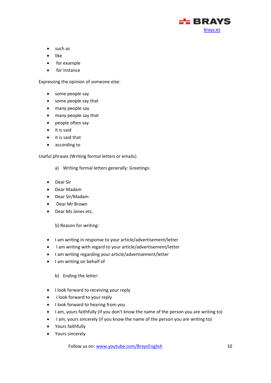

- such as
- like
- for example
- for instance

Expressing the opinion of someone else:

- some people say
- some people say that
- many people say
- many people say that
- people often say
- it is said
- it is said that
- according to

Useful phrases (Writing formal letters or emails)

- a) Writing formal letters generally: Greetings:
- Dear Sir
- Dear Madam
- Dear Sir/Madam
- Dear Mr Brown
- Dear Ms Jones etc.

b) Reason for writing:

- I am writing in response to your article/advertisement/letter
- I am writing with regard to your article/advertisement/letter
- I am writing regarding your article/advertisement/letter
- I am writing on behalf of

b) Ending the letter:

- I look forward to receiving your reply
- I look forward to your reply
- I look forward to hearing from you
- I am, yours faithfully (if you don't know the name of the person you are writing to)
- I am, yours sincerely (if you know the name of the person you are writing to)
- Yours faithfully
- Yours sincerely

Follow us on: [www.youtube.com/BraysEnglish](http://www.youtube.com/BraysEnglish) 10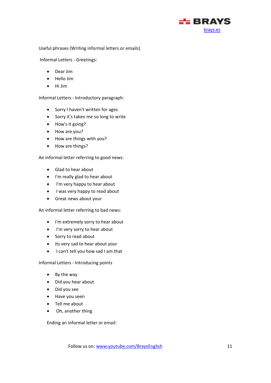

Useful phrases (Writing informal letters or emails)

Informal Letters - Greetings:

- Dear Jim
- Hello Jim
- Hi Jim

Informal Letters - Introductory paragraph:

- Sorry I haven't written for ages
- Sorry it's taken me so long to write
- How's it going?
- How are you?
- How are things with you?
- How are things?

An informal letter referring to good news:

- Glad to hear about
- I'm really glad to hear about
- I'm very happy to hear about
- I was very happy to read about
- Great news about your

An informal letter referring to bad news:

- I'm extremely sorry to hear about
- I'm very sorry to hear about
- Sorry to read about
- Its very sad to hear about your
- I can't tell you how sad I am that

Informal Letters - Introducing points

- By the way
- Did you hear about
- Did you see
- Have you seen
- Tell me about
- Oh, another thing

Ending an informal letter or email: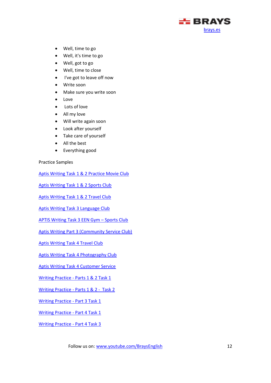

- Well, time to go
- Well, it's time to go
- Well, got to go
- Well, time to close
- I've got to leave off now
- Write soon
- Make sure you write soon
- Love
- Lots of love
- All my love
- Will write again soon
- Look after yourself
- Take care of yourself
- All the best
- Everything good

Practice Samples

[Aptis Writing Task 1 & 2 Practice Movie Club](https://www.englishexamninja.com/aptis/aptis-writing-task-1-2/aptis-writing-task-1-2-practice-movie-club/)

[Aptis Writing Task 1 & 2 Sports Club](https://www.englishexamninja.com/aptis/aptis-writing-task-1-2/sports-club-aptis-writing-task-1-2/)

[Aptis Writing Task 1 & 2 Travel Club](https://www.englishexamninja.com/aptis/aptis-writing-task-1-2/aptis-writing-task-1-2-travel-club/)

[Aptis Writing Task 3 Language Club](https://www.englishexamninja.com/aptis/aptis-writing-task-1-2/aptis-writing-task-3-language-club)

[APTIS Writing Task 3 EEN Gym](https://www.englishexamninja.com/aptis/aptis-writing-task-1-2/aptis-writing-task-3-een-gym-sports-club) – Sports Club

[Aptis Writing Part 3 \(Community Service Club\)](https://www.englishexamninja.com/aptis/aptis-writing-task-1-2/aptis-writing-part-3-community-service-club/)

[Aptis Writing Task 4 Travel Club](https://www.englishexamninja.com/aptis/aptis-writing-task-1-2/aptis-writing-task-4/)

[Aptis Writing Task 4 Photography Club](https://www.englishexamninja.com/aptis/aptis-writing-task-1-2/aptis-writing-task-4-photography-club/)

[Aptis Writing Task 4 Customer Service](https://www.englishexamninja.com/aptis/aptis-writing-task-1-2/aptis-writing-task-4-customer-service/)

Writing Practice - [Parts 1 & 2 Task 1](https://docs.google.com/forms/d/e/1FAIpQLSck_TCwEGqBD47TGuiyYaAYjYa_FL7cRFSJmH9cIAJx5tyNSg/viewform)

Writing Practice - [Parts 1 & 2 - Task 2](https://docs.google.com/forms/d/e/1FAIpQLSfuxi9l6UMalRsQAkOGjjmST79_xh1lbe4HjT9TfIzAKFUNAA/viewform)

[Writing Practice -](https://docs.google.com/forms/d/e/1FAIpQLSeNiL_9qmJ7HQiNhS_FHqmGh3eL5Uu6nuflE5DN3PPNmkkFJw/viewform) Part 3 Task 1

[Writing Practice -](https://docs.google.com/forms/d/e/1FAIpQLSeLgDux3Unt1POgmGglIhNywyVeQhSpbk-rSgOBpWFar2spMw/viewform) Part 4 Task 1

[Writing Practice -](https://docs.google.com/forms/d/e/1FAIpQLSdIe6dGdWpB2ffLzcozhq8bx5SEcyxRnl4Tx6fp9h0lp0hPww/viewform) Part 4 Task 3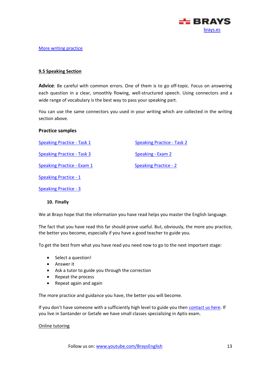

#### [More writing practice](https://practice.bc.janisoncloud.com/auth/onetimecode?sessionCode=NLBTXQNG&otc=VVLZGZLH&isSampleTest=true)

#### <span id="page-12-0"></span>**9.5 Speaking Section**

**Advice**: Be careful with common errors. One of them is to go off-topic. Focus on answering each question in a clear, smoothly flowing, well-structured speech. Using connectors and a wide range of vocabulary is the best way to pass your speaking part.

You can use the same connectors you used in your writing which are collected in the writing section above.

#### **Practice samples**

| <b>Speaking Practice - Task 1</b> | <b>Speaking Practice - Task 2</b> |
|-----------------------------------|-----------------------------------|
| <b>Speaking Practice - Task 3</b> | Speaking - Exam 2                 |
| <b>Speaking Practice - Exam 1</b> | <b>Speaking Practice - 2</b>      |
| <b>Speaking Practice - 1</b>      |                                   |
| Speaking Practice - 3             |                                   |

#### <span id="page-12-1"></span>**10. Finally**

We at Brays hope that the information you have read helps you master the English language.

The fact that you have read this far should prove useful. But, obviously, the more you practice, the better you become, especially if you have a good teacher to guide you.

To get the best from what you have read you need now to go to the next important stage:

- Select a question!
- Answer it
- Ask a tutor to guide you through the correction
- Repeat the process
- Repeat again and again

The more practice and guidance you have, the better you will become.

If you don't have someone with a sufficiently high level to guide you then [contact us here.](https://brays.es/index.php?id=contacto) If you live in Santander or Getafe we have small classes specializing in Aptis exam.

#### Online tutoring